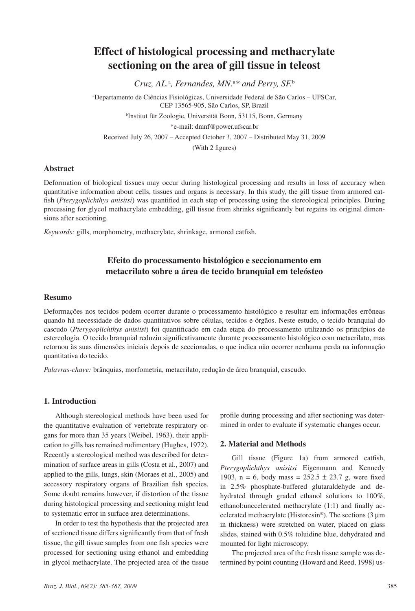# **Effect of histological processing and methacrylate sectioning on the area of gill tissue in teleost**

*Cruz, AL.*<sup>a</sup> *, Fernandes, MN.*<sup>a</sup> *\* and Perry, SF.*<sup>b</sup>

a Departamento de Ciências Fisiológicas, Universidade Federal de São Carlos – UFSCar, CEP 13565-905, São Carlos, SP, Brazil b Institut für Zoologie, Universität Bonn, 53115, Bonn, Germany \*e-mail: dmnf@power.ufscar.br Received July 26, 2007 – Accepted October 3, 2007 – Distributed May 31, 2009 (With 2 figures)

### **Abstract**

Deformation of biological tissues may occur during histological processing and results in loss of accuracy when quantitative information about cells, tissues and organs is necessary. In this study, the gill tissue from armored catfish (*Pterygoplichthys anisitsi*) was quantified in each step of processing using the stereological principles. During processing for glycol methacrylate embedding, gill tissue from shrinks significantly but regains its original dimensions after sectioning.

*Keywords:* gills, morphometry, methacrylate, shrinkage, armored catfish.

# **Efeito do processamento histológico e seccionamento em metacrilato sobre a área de tecido branquial em teleósteo**

### **Resumo**

Deformações nos tecidos podem ocorrer durante o processamento histológico e resultar em informações errôneas quando há necessidade de dados quantitativos sobre células, tecidos e órgãos. Neste estudo, o tecido branquial do cascudo (*Pterygoplichthys anisitsi*) foi quantificado em cada etapa do processamento utilizando os princípios de estereologia. O tecido branquial reduziu significativamente durante processamento histológico com metacrilato, mas retornou às suas dimensões iniciais depois de seccionadas, o que indica não ocorrer nenhuma perda na informação quantitativa do tecido.

*Palavras-chave:* brânquias, morfometria, metacrilato, redução de área branquial, cascudo.

# **1. Introduction**

Although stereological methods have been used for the quantitative evaluation of vertebrate respiratory organs for more than 35 years (Weibel, 1963), their application to gills has remained rudimentary (Hughes, 1972). Recently a stereological method was described for determination of surface areas in gills (Costa et al., 2007) and applied to the gills, lungs, skin (Moraes et al., 2005) and accessory respiratory organs of Brazilian fish species. Some doubt remains however, if distortion of the tissue during histological processing and sectioning might lead to systematic error in surface area determinations.

In order to test the hypothesis that the projected area of sectioned tissue differs significantly from that of fresh tissue, the gill tissue samples from one fish species were processed for sectioning using ethanol and embedding in glycol methacrylate. The projected area of the tissue profile during processing and after sectioning was determined in order to evaluate if systematic changes occur.

# **2. Material and Methods**

Gill tissue (Figure 1a) from armored catfish, *Pterygoplichthys anisitsi* Eigenmann and Kennedy 1903, n = 6, body mass =  $252.5 \pm 23.7$  g, were fixed in 2.5% phosphate-buffered glutaraldehyde and dehydrated through graded ethanol solutions to 100%, ethanol:unccelerated methacrylate (1:1) and finally accelerated methacrylate (Historesin<sup>®</sup>). The sections (3  $\mu$ m in thickness) were stretched on water, placed on glass slides, stained with 0.5% toluidine blue, dehydrated and mounted for light microscopy.

The projected area of the fresh tissue sample was determined by point counting (Howard and Reed, 1998) us-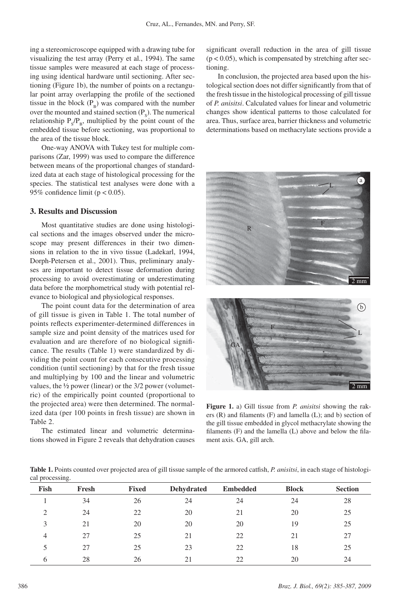ing a stereomicroscope equipped with a drawing tube for visualizing the test array (Perry et al., 1994). The same tissue samples were measured at each stage of processing using identical hardware until sectioning. After sectioning (Figure 1b), the number of points on a rectangular point array overlapping the profile of the sectioned tissue in the block  $(P_p)$  was compared with the number over the mounted and stained section  $(P_s)$ . The numerical relationship  $P_s/P_B$ , multiplied by the point count of the embedded tissue before sectioning, was proportional to the area of the tissue block.

One-way ANOVA with Tukey test for multiple comparisons (Zar, 1999) was used to compare the difference between means of the proportional changes of standardized data at each stage of histological processing for the species. The statistical test analyses were done with a 95% confidence limit ( $p < 0.05$ ).

### **3. Results and Discussion**

Most quantitative studies are done using histological sections and the images observed under the microscope may present differences in their two dimensions in relation to the in vivo tissue (Ladekarl, 1994, Dorph-Petersen et al., 2001). Thus, preliminary analyses are important to detect tissue deformation during processing to avoid overestimating or underestimating data before the morphometrical study with potential relevance to biological and physiological responses.

The point count data for the determination of area of gill tissue is given in Table 1. The total number of points reflects experimenter-determined differences in sample size and point density of the matrices used for evaluation and are therefore of no biological significance. The results (Table 1) were standardized by dividing the point count for each consecutive processing condition (until sectioning) by that for the fresh tissue and multiplying by 100 and the linear and volumetric values, the ½ power (linear) or the 3/2 power (volumetric) of the empirically point counted (proportional to the projected area) were then determined. The normalized data (per 100 points in fresh tissue) are shown in Table 2.

The estimated linear and volumetric determinations showed in Figure 2 reveals that dehydration causes significant overall reduction in the area of gill tissue  $(p < 0.05)$ , which is compensated by stretching after sectioning.

In conclusion, the projected area based upon the histological section does not differ significantly from that of the fresh tissue in the histological processing of gill tissue of *P. anisitsi*. Calculated values for linear and volumetric changes show identical patterns to those calculated for area. Thus, surface area, barrier thickness and volumetric determinations based on methacrylate sections provide a



**Figure 1.** a) Gill tissue from *P. anisitsi* showing the rakers (R) and filaments (F) and lamella (L); and b) section of the gill tissue embedded in glycol methacrylate showing the filaments (F) and the lamella (L) above and below the filament axis. GA, gill arch.

**Table 1.** Points counted over projected area of gill tissue sample of the armored catfish, *P. anisitsi*, in each stage of histological processing.

| Fish | Fresh | <b>Fixed</b> | <b>Dehydrated</b> | <b>Embedded</b> | <b>Block</b> | <b>Section</b> |
|------|-------|--------------|-------------------|-----------------|--------------|----------------|
|      | 34    | 26           | 24                | 24              | 24           | 28             |
| 2    | 24    | 22           | 20                | 21              | 20           | 25             |
| 3    | 21    | 20           | 20                | 20              | 19           | 25             |
| 4    | 27    | 25           | 21                | 22              | 21           | 27             |
| 5    | 27    | 25           | 23                | 22              | 18           | 25             |
| 6    | 28    | 26           | 21                | 22              | 20           | 24             |

2 mm